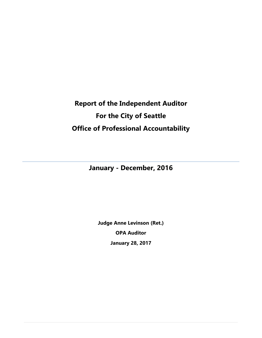# **Report of the Independent Auditor For the City of Seattle Office of Professional Accountability**

# **January - December, 2016**

**Judge Anne Levinson (Ret.) OPA Auditor January 28, 2017**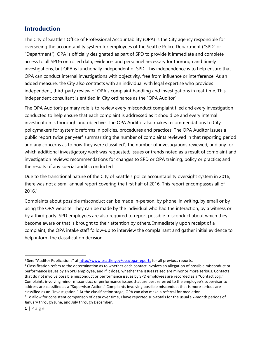## **Introduction**

The City of Seattle's Office of Professional Accountability (OPA) is the City agency responsible for overseeing the accountability system for employees of the Seattle Police Department ("SPD" or "Department"). OPA is officially designated as part of SPD to provide it immediate and complete access to all SPD-controlled data, evidence, and personnel necessary for thorough and timely investigations, but OPA is functionally independent of SPD. This independence is to help ensure that OPA can conduct internal investigations with objectivity, free from influence or interference. As an added measure, the City also contracts with an individual with legal expertise who provides independent, third-party review of OPA's complaint handling and investigations in real-time. This independent consultant is entitled in City ordinance as the "OPA Auditor".

The OPA Auditor's primary role is to review every misconduct complaint filed and every investigation conducted to help ensure that each complaint is addressed as it should be and every internal investigation is thorough and objective. The OPA Auditor also makes recommendations to City policymakers for systemic reforms in policies, procedures and practices. The OPA Auditor issues a public report twice per year<sup>1</sup> summarizing the number of complaints reviewed in that reporting period and any concerns as to how they were classified<sup>2</sup>; the number of investigations reviewed, and any for which additional investigatory work was requested; issues or trends noted as a result of complaint and investigation reviews; recommendations for changes to SPD or OPA training, policy or practice; and the results of any special audits conducted.

Due to the transitional nature of the City of Seattle's police accountability oversight system in 2016, there was not a semi-annual report covering the first half of 2016. This report encompasses all of  $2016<sup>3</sup>$ 

Complaints about possible misconduct can be made in-person, by phone, in writing, by email or by using the OPA website. They can be made by the individual who had the interaction, by a witness or by a third party. SPD employees are also required to report possible misconduct about which they become aware or that is brought to their attention by others. Immediately upon receipt of a complaint, the OPA intake staff follow-up to interview the complainant and gather initial evidence to help inform the classification decision.

<sup>&</sup>lt;sup>1</sup> See: "Auditor Publications" at <u><http://www.seattle.gov/opa/opa-reports></u> for all previous reports.

<sup>&</sup>lt;sup>2</sup> Classification refers to the determination as to whether each contact involves an allegation of possible misconduct or performance issues by an SPD employee, and if it does, whether the issues raised are minor or more serious. Contacts that do not involve possible misconduct or performance issues by SPD employees are recorded as a "Contact Log." Complaints involving minor misconduct or performance issues that are best referred to the employee's supervisor to address are classified as a "Supervisor Action." Complaints involving possible misconduct that is more serious are classified as an "Investigation." At the classification stage, OPA can also make a referral for mediation.

<sup>&</sup>lt;sup>3</sup> To allow for consistent comparison of data over time, I have reported sub-totals for the usual six-month periods of January through June, and July through December.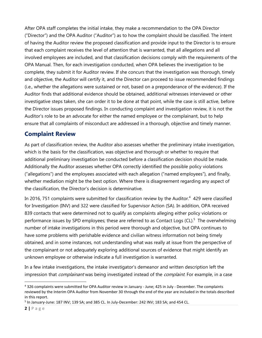After OPA staff completes the initial intake, they make a recommendation to the OPA Director ("Director") and the OPA Auditor ("Auditor") as to how the complaint should be classified. The intent of having the Auditor review the proposed classification and provide input to the Director is to ensure that each complaint receives the level of attention that is warranted, that all allegations and all involved employees are included, and that classification decisions comply with the requirements of the OPA Manual. Then, for each investigation conducted, when OPA believes the investigation to be complete, they submit it for Auditor review. If she concurs that the investigation was thorough, timely and objective, the Auditor will certify it, and the Director can proceed to issue recommended findings (i.e., whether the allegations were sustained or not, based on a preponderance of the evidence). If the Auditor finds that additional evidence should be obtained, additional witnesses interviewed or other investigative steps taken, she can order it to be done at that point, while the case is still active, before the Director issues proposed findings. In conducting complaint and investigation review, it is not the Auditor's role to be an advocate for either the named employee or the complainant, but to help ensure that all complaints of misconduct are addressed in a thorough, objective and timely manner.

# **Complaint Review**

As part of classification review, the Auditor also assesses whether the preliminary intake investigation, which is the basis for the classification, was objective and thorough or whether to require that additional preliminary investigation be conducted before a classification decision should be made. Additionally the Auditor assesses whether OPA correctly identified the possible policy violations ("allegations") and the employees associated with each allegation ("named employees"), and finally, whether mediation might be the best option. Where there is disagreement regarding any aspect of the classification, the Director's decision is determinative.

In 2016, 751 complaints were submitted for classification review by the Auditor. $4$  429 were classified for Investigation (INV) and 322 were classified for Supervisor Action (SA). In addition, OPA received 839 contacts that were determined not to qualify as complaints alleging either policy violations or performance issues by SPD employees; these are referred to as Contact Logs (CL).<sup>5</sup> The overwhelming number of intake investigations in this period were thorough and objective, but OPA continues to have some problems with perishable evidence and civilian witness information not being timely obtained, and in some instances, not understanding what was really at issue from the perspective of the complainant or not adequately exploring additional sources of evidence that might identify an unknown employee or otherwise indicate a full investigation is warranted.

In a few intake investigations, the intake investigator's demeanor and written description left the impression that *complainant* was being investigated instead of the *complaint*. For example, in a case

 $\overline{a}$ <sup>4</sup> 326 complaints were submitted for OPA Auditor review in January - June; 425 in July - December. The complaints reviewed by the Interim OPA Auditor from November 30 through the end of the year are included in the totals described in this report.

<sup>&</sup>lt;sup>5</sup> In January-June: 187 INV; 139 SA; and 385 CL. In July-December: 242 INV; 183 SA; and 454 CL.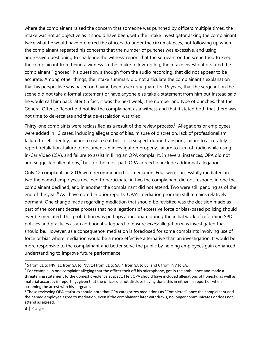where the complainant raised the concern that someone was punched by officers multiple times, the intake was not as objective as it should have been, with the intake investigator asking the complainant twice what he would have preferred the officers do under the circumstances, not following up when the complainant repeated his concerns that the number of punches was excessive, and using aggressive questioning to challenge the witness' report that the sergeant on the scene tried to keep the complainant from being a witness. In the intake follow-up log, the intake investigator stated the complainant "ignored" his question, although from the audio recording, that did not appear to be accurate. Among other things, the intake summary did not articulate the complainant's explanation that his perspective was based on having been a security guard for 15 years, that the sergeant on the scene did not take a formal statement or have anyone else take a statement from him but instead said he would call him back later (in fact, it was the next week), the number and type of punches, that the General Offense Report did not list the complainant as a witness and that it stated both that there was not time to de-escalate and that de-escalation was tried.

Thirty-one complaints were reclassified as a result of the review process.<sup>6</sup> Allegations or employees were added in 12 cases, including allegations of bias, misuse of discretion, lack of professionalism, failure to self-identify, failure to use a seat belt for a suspect during transport, failure to accurately report, retaliation, failure to document an investigation properly, failure to turn off radio while using In-Car Video (ICV), and failure to assist in filing an OPA complaint. In several instances, OPA did not add suggested allegations, $7$  but for the most part, OPA agreed to include additional allegations.

Only 12 complaints in 2016 were recommended for mediation. Four were successfully mediated; in two the named employees declined to participate; in two the complainant did not respond; in one the complainant declined, and in another the complainant did not attend. Two were still pending as of the end of the year.<sup>8</sup> As I have noted in prior reports, OPA's mediation program still remains relatively dormant. One change made regarding mediation that should be revisited was the decision made as part of the consent decree process that no allegations of excessive force or bias-based policing should ever be mediated. This prohibition was perhaps appropriate during the initial work of reforming SPD's policies and practices as an additional safeguard to ensure every allegation was investigated that should be. However, as a consequence, mediation is foreclosed for some complaints involving use of force or bias where mediation would be a more effective alternative than an investigation. It would be more responsive to the complainant and better serve the public by helping employees gain enhanced understanding to improve future performance.

<sup>6</sup> 5 from CL to INV; 11 from SA to INV; 14 from CL to SA; 4 from SA to CL; and 6 from INV to SA.

 $^7$  For example, in one complaint alleging that the officer took off his microphone, got in the ambulance and made a threatening statement to the domestic violence suspect, I felt OPA should have included allegations of honesty, as well as material accuracy in reporting, given that the officer did not disclose having done this in either his report or when screening the arrest with his sergeant.

<sup>8</sup> Those reviewing OPA statistics should note that OPA categorizes mediations as "Completed" once the complainant and the named employee agree to mediation, even if the complainant later withdraws, no longer communicates or does not attend as agreed.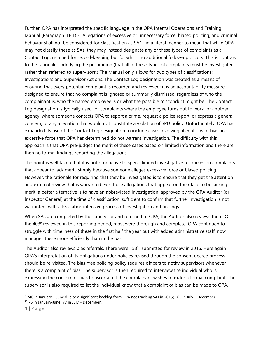Further, OPA has interpreted the specific language in the OPA Internal Operations and Training Manual (Paragraph II.F.1) - "Allegations of excessive or unnecessary force, biased policing, and criminal behavior shall not be considered for classification as SA" - in a literal manner to mean that while OPA may not classify these as SAs, they may instead designate any of these types of complaints as a Contact Log, retained for record-keeping but for which no additional follow-up occurs. This is contrary to the rationale underlying the prohibition (that all of these types of complaints must be investigated rather than referred to supervisors.) The Manual only allows for two types of classifications: Investigations and Supervisor Actions. The Contact Log designation was created as a means of ensuring that every potential complaint is recorded and reviewed; it is an accountability measure designed to ensure that no complaint is ignored or summarily dismissed, regardless of who the complainant is, who the named employee is or what the possible misconduct might be. The Contact Log designation is typically used for complaints where the employee turns out to work for another agency, where someone contacts OPA to report a crime, request a police report, or express a general concern, or any allegation that would not constitute a violation of SPD policy. Unfortunately, OPA has expanded its use of the Contact Log designation to include cases involving allegations of bias and excessive force that OPA has determined do not warrant investigation. The difficulty with this approach is that OPA pre-judges the merit of these cases based on limited information and there are then no formal findings regarding the allegations.

The point is well taken that it is not productive to spend limited investigative resources on complaints that appear to lack merit, simply because someone alleges excessive force or biased policing. However, the rationale for requiring that they be investigated is to ensure that they get the attention and external review that is warranted. For those allegations that appear on their face to be lacking merit, a better alternative is to have an abbreviated investigation, approved by the OPA Auditor (or Inspector General) at the time of classification, sufficient to confirm that further investigation is not warranted, with a less labor-intensive process of investigation and findings.

When SAs are completed by the supervisor and returned to OPA, the Auditor also reviews them. Of the  $403<sup>9</sup>$  reviewed in this reporting period, most were thorough and complete. OPA continued to struggle with timeliness of these in the first half the year but with added administrative staff, now manages these more efficiently than in the past.

The Auditor also reviews bias referrals. There were 153<sup>10</sup> submitted for review in 2016. Here again OPA's interpretation of its obligations under policies revised through the consent decree process should be re-visited. The bias-free policing policy requires officers to notify supervisors whenever there is a complaint of bias. The supervisor is then required to interview the individual who is expressing the concern of bias to ascertain if the complainant wishes to make a formal complaint. The supervisor is also required to let the individual know that a complaint of bias can be made to OPA,

<sup>9</sup> 240 in January – June due to a significant backlog from OPA not tracking SAs in 2015; 163 in July – December.  $10$  76 in January-June; 77 in July – December.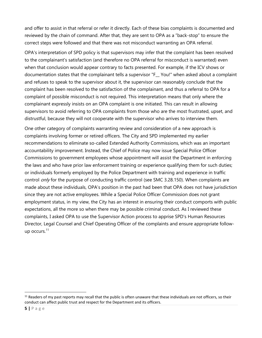and offer to assist in that referral or refer it directly. Each of these bias complaints is documented and reviewed by the chain of command. After that, they are sent to OPA as a "back-stop" to ensure the correct steps were followed and that there was not misconduct warranting an OPA referral.

OPA's interpretation of SPD policy is that supervisors may infer that the complaint has been resolved to the complainant's satisfaction (and therefore no OPA referral for misconduct is warranted) even when that conclusion would appear contrary to facts presented. For example, if the ICV shows or documentation states that the complainant tells a supervisor "F\_\_ You!" when asked about a complaint and refuses to speak to the supervisor about it, the supervisor can reasonably conclude that the complaint has been resolved to the satisfaction of the complainant, and thus a referral to OPA for a complaint of possible misconduct is not required. This interpretation means that only where the complainant expressly insists on an OPA complaint is one initiated. This can result in allowing supervisors to avoid referring to OPA complaints from those who are the most frustrated, upset, and distrustful, because they will not cooperate with the supervisor who arrives to interview them.

One other category of complaints warranting review and consideration of a new approach is complaints involving former or retired officers. The City and SPD implemented my earlier recommendations to eliminate so-called Extended Authority Commissions, which was an important accountability improvement. Instead, the Chief of Police may now issue Special Police Officer Commissions to government employees whose appointment will assist the Department in enforcing the laws and who have prior law enforcement training or experience qualifying them for such duties; or individuals formerly employed by the Police Department with training and experience in traffic control *only* for the purpose of conducting traffic control (see SMC 3.28.150). When complaints are made about these individuals, OPA's position in the past had been that OPA does not have jurisdiction since they are not active employees. While a Special Police Officer Commission does not grant employment status, in my view, the City has an interest in ensuring their conduct comports with public expectations, all the more so when there may be possible criminal conduct. As I reviewed these complaints, I asked OPA to use the Supervisor Action process to apprise SPD's Human Resources Director, Legal Counsel and Chief Operating Officer of the complaints and ensure appropriate followup occurs.<sup>11</sup>

 $11$  Readers of my past reports may recall that the public is often unaware that these individuals are not officers, so their conduct can affect public trust and respect for the Department and its officers.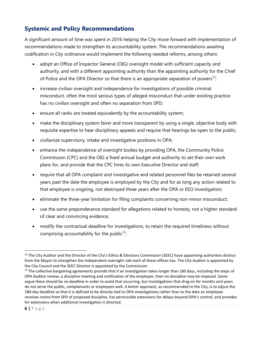# **Systemic and Policy Recommendations**

A significant amount of time was spent in 2016 helping the City move forward with implementation of recommendations made to strengthen its accountability system. The recommendations awaiting codification in City ordinance would implement the following needed reforms, among others:

- adopt an Office of Inspector General (OIG) oversight model with sufficient capacity and authority, and with a different appointing authority than the appointing authority for the Chief of Police and the OPA Director so that there is an appropriate separation of powers<sup>12</sup>;
- increase civilian oversight and independence for investigations of possible criminal misconduct, often the most serious types of alleged misconduct that under existing practice has no civilian oversight and often no separation from SPD;
- ensure all ranks are treated equivalently by the accountability system;
- make the disciplinary system fairer and more transparent by using a single, objective body with requisite expertise to hear disciplinary appeals and require that hearings be open to the public;
- civilianize supervisory, intake and investigative positions in OPA;
- enhance the independence of oversight bodies by providing OPA, the Community Police Commission (CPC) and the OIG a fixed annual budget and authority to set their own work plans for, and provide that the CPC hires its own Executive Director and staff;
- require that all OPA complaint and investigative and related personnel files be retained several years past the date the employee is employed by the City and for as long any action related to that employee is ongoing, not destroyed three years after the OPA or EEO investigation;
- eliminate the three-year limitation for filing complaints concerning non-minor misconduct;
- use the same preponderance standard for allegations related to honesty, not a higher standard of clear and convincing evidence;
- modify the contractual deadline for investigations, to retain the required timeliness without comprising accountability for the public<sup>13</sup>;

<sup>&</sup>lt;sup>12</sup> The City Auditor and the Director of the City's Ethics & Elections Commission (SEEC) have appointing authorities distinct from the Mayor to strengthen the independent oversight role each of these offices has. The City Auditor is appointed by the City Council and the SEEC Director is appointed by the Commission.

 $13$  The collective bargaining agreements provide that if an investigation takes longer than 180 days, including the steps of OPA Auditor review, a discipline meeting and notification of the employee, then no discipline may be imposed. Some argue there should be no deadline in order to avoid that occurring, but investigations that drag on for months and years do not serve the public, complainants or employees well. A better approach, as recommended to the City, is to adjust the 180-day deadline so that it is defined to be directly tied to OPA investigations rather than to the date an employee receives notice from SPD of proposed discipline, has permissible extensions for delays beyond OPA's control, and provides for extensions when additional investigation is directed.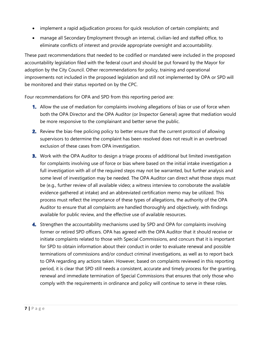- implement a rapid adjudication process for quick resolution of certain complaints; and
- manage all Secondary Employment through an internal, civilian-led and staffed office, to eliminate conflicts of interest and provide appropriate oversight and accountability.

These past recommendations that needed to be codified or mandated were included in the proposed accountability legislation filed with the federal court and should be put forward by the Mayor for adoption by the City Council. Other recommendations for policy, training and operational improvements not included in the proposed legislation and still not implemented by OPA or SPD will be monitored and their status reported on by the CPC.

Four recommendations for OPA and SPD from this reporting period are:

- Allow the use of mediation for complaints involving allegations of bias or use of force when both the OPA Director and the OPA Auditor (or Inspector General) agree that mediation would be more responsive to the complainant and better serve the public.
- 2. Review the bias-free policing policy to better ensure that the current protocol of allowing supervisors to determine the complaint has been resolved does not result in an overbroad exclusion of these cases from OPA investigation.
- **3.** Work with the OPA Auditor to design a triage process of additional but limited investigation for complaints involving use of force or bias where based on the initial intake investigation a full investigation with all of the required steps may not be warranted, but further analysis and some level of investigation may be needed. The OPA Auditor can direct what those steps must be (e.g., further review of all available video; a witness interview to corroborate the available evidence gathered at intake) and an abbreviated certification memo may be utilized. This process must reflect the importance of these types of allegations, the authority of the OPA Auditor to ensure that all complaints are handled thoroughly and objectively, with findings available for public review, and the effective use of available resources.
- 4. Strengthen the accountability mechanisms used by SPD and OPA for complaints involving former or retired SPD officers. OPA has agreed with the OPA Auditor that it should receive or initiate complaints related to those with Special Commissions, and concurs that it is important for SPD to obtain information about their conduct in order to evaluate renewal and possible terminations of commissions and/or conduct criminal investigations, as well as to report back to OPA regarding any actions taken. However, based on complaints reviewed in this reporting period, it is clear that SPD still needs a consistent, accurate and timely process for the granting, renewal and immediate termination of Special Commissions that ensures that only those who comply with the requirements in ordinance and policy will continue to serve in these roles.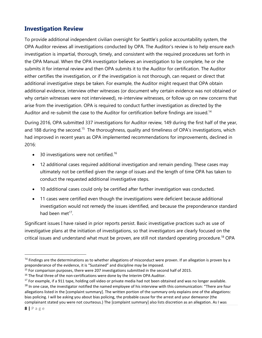## **Investigation Review**

To provide additional independent civilian oversight for Seattle's police accountability system, the OPA Auditor reviews all investigations conducted by OPA. The Auditor's review is to help ensure each investigation is impartial, thorough, timely, and consistent with the required procedures set forth in the OPA Manual. When the OPA investigator believes an investigation to be complete, he or she submits it for internal review and then OPA submits it to the Auditor for certification. The Auditor either certifies the investigation, or if the investigation is not thorough, can request or direct that additional investigative steps be taken. For example, the Auditor might request that OPA obtain additional evidence, interview other witnesses (or document why certain evidence was not obtained or why certain witnesses were not interviewed), re-interview witnesses, or follow up on new concerns that arise from the investigation. OPA is required to conduct further investigation as directed by the Auditor and re-submit the case to the Auditor for certification before findings are issued.<sup>14</sup>

During 2016, OPA submitted 337 investigations for Auditor review, 149 during the first half of the year, and 188 during the second.<sup>15</sup> The thoroughness, quality and timeliness of OPA's investigations, which had improved in recent years as OPA implemented recommendations for improvements, declined in 2016:

- 30 investigations were not certified.<sup>16</sup>
- 12 additional cases required additional investigation and remain pending. These cases may ultimately not be certified given the range of issues and the length of time OPA has taken to conduct the requested additional investigative steps.
- 10 additional cases could only be certified after further investigation was conducted.
- 11 cases were certified even though the investigations were deficient because additional investigation would not remedy the issues identified, and because the preponderance standard had been met $^{17}$ .

Significant issues I have raised in prior reports persist. Basic investigative practices such as use of investigative plans at the initiation of investigations, so that investigators are clearly focused on the critical issues and understand what must be proven, are still not standard operating procedure.<sup>18</sup> OPA

 $14$  Findings are the determinations as to whether allegations of misconduct were proven. If an allegation is proven by a preponderance of the evidence, it is "Sustained" and discipline may be imposed.

<sup>&</sup>lt;sup>15</sup> For comparison purposes, there were 207 investigations submitted in the second half of 2015.

 $16$  The final three of the non-certifications were done by the Interim OPA Auditor.

 $17$  For example, if a 911 tape, holding cell video or private media had not been obtained and was no longer available. <sup>18</sup> In one case, the investigator notified the named employee of his interview with this communication: "There are four allegations listed in the [complaint summary]. The written portion of the summary only explains one of the allegations: bias policing. I will be asking you about bias policing, the probable cause for the arrest and your demeanor (the complainant stated you were not courteous.) The [complaint summary] also lists discretion as an allegation. As I was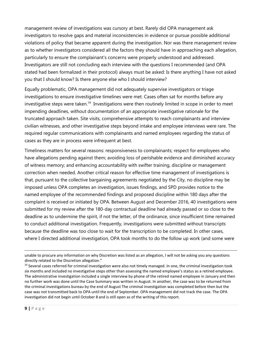management review of investigations was cursory at best. Rarely did OPA management ask investigators to resolve gaps and material inconsistencies in evidence or pursue possible additional violations of policy that became apparent during the investigation. Nor was there management review as to whether investigators considered all the factors they should have in approaching each allegation, particularly to ensure the complainant's concerns were properly understood and addressed. Investigators are still not concluding each interview with the questions I recommended (and OPA stated had been formalized in their protocol) always must be asked: Is there anything I have not asked you that I should know? Is there anyone else who I should interview?

Equally problematic, OPA management did not adequately supervise investigators or triage investigations to ensure investigative timelines were met. Cases often sat for months before any investigative steps were taken.<sup>19</sup> Investigations were then routinely limited in scope in order to meet impending deadlines, without documentation of an appropriate investigative rationale for the truncated approach taken. Site visits, comprehensive attempts to reach complainants and interview civilian witnesses, and other investigative steps beyond intake and employee interviews were rare. The required regular communications with complainants and named employees regarding the status of cases as they are in process were infrequent at best.

Timeliness matters for several reasons: responsiveness to complainants; respect for employees who have allegations pending against them; avoiding loss of perishable evidence and diminished accuracy of witness memory; and enhancing accountability with swifter training, discipline or management correction when needed. Another critical reason for effective time management of investigations is that, pursuant to the collective bargaining agreements negotiated by the City, no discipline may be imposed unless OPA completes an investigation, issues findings, and SPD provides notice to the named employee of the recommended findings and proposed discipline within 180 days after the complaint is received or initiated by OPA. Between August and December 2016, 40 investigations were submitted for my review after the 180-day contractual deadline had already passed or so close to the deadline as to undermine the spirit, if not the letter, of the ordinance, since insufficient time remained to conduct additional investigation. Frequently, investigations were submitted without transcripts because the deadline was too close to wait for the transcription to be completed. In other cases, where I directed additional investigation, OPA took months to do the follow up work (and some were

unable to procure any information on why Discretion was listed as an allegation, I will not be asking you any questions directly related to the Discretion allegation."

 $19$  Several cases referred for criminal investigation were also not timely managed. In one, the criminal investigation took six months and included no investigative steps other than assessing the named employee's status as a retired employee. The administrative investigation included a single interview by phone of the retired named employee in January and then no further work was done until the Case Summary was written in August. In another, the case was to be returned from the criminal investigations bureau by the end of August The criminal investigation was completed before then but the case was not transmitted back to OPA until the end of September. OPA management did not track the case. The OPA investigation did not begin until October 8 and is still open as of the writing of this report.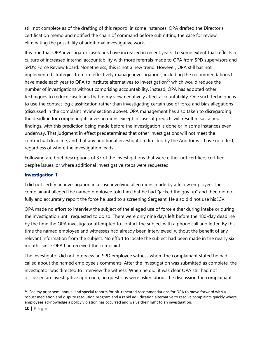still not complete as of the drafting of this report). In some instances, OPA drafted the Director's certification memo and notified the chain of command before submitting the case for review, eliminating the possibility of additional investigative work.

It is true that OPA investigator caseloads have increased in recent years. To some extent that reflects a culture of increased internal accountability with more referrals made to OPA from SPD supervisors and SPD's Force Review Board. Nonetheless, this is not a new trend. However, OPA still has not implemented strategies to more effectively manage investigations, including the recommendations I have made each year to OPA to institute alternatives to investigation<sup>20</sup> which would reduce the number of investigations without comprising accountability. Instead, OPA has adopted other techniques to reduce caseloads that in my view negatively affect accountability. One such technique is to use the contact log classification rather than investigating certain use of force and bias allegations (discussed in the complaint review section above). OPA management has also taken to disregarding the deadline for completing its investigations except in cases it predicts will result in sustained findings, with this prediction being made before the investigation is done or in some instances even underway. That judgment in effect predetermines that other investigations will not meet the contractual deadline, and that any additional investigation directed by the Auditor will have no effect, regardless of where the investigation leads.

Following are brief descriptions of 37 of the investigations that were either not certified, certified despite issues, or where additional investigative steps were requested:

#### **Investigation 1**

I did not certify an investigation in a case involving allegations made by a fellow employee. The complainant alleged the named employee told him that he had "jacked the guy up" and then did not fully and accurately report the force he used to a screening Sergeant. He also did not use his ICV.

OPA made no effort to interview the subject of the alleged use of force either during intake or during the investigation until requested to do so. There were only nine days left before the 180-day deadline by the time the OPA investigator attempted to contact the subject with a phone call and letter. By this time the named employee and witnesses had already been interviewed, without the benefit of any relevant information from the subject. No effort to locate the subject had been made in the nearly six months since OPA had received the complaint.

The investigator did not interview an SPD employee witness whom the complainant stated he had called about the named employee's comments. After the investigation was submitted as complete, the investigator was directed to interview the witness. When he did, it was clear OPA still had not discussed an investigative approach; no questions were asked about the discussion the complainant

<sup>&</sup>lt;sup>20</sup> See my prior semi-annual and special reports for oft-repeated recommendations for OPA to move forward with a robust mediation and dispute resolution program and a rapid adjudication alternative to resolve complaints quickly where employees acknowledge a policy violation has occurred and waive their right to an investigation.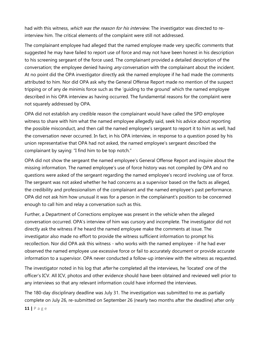had with this witness, which was the reason for his interview. The investigator was directed to reinterview him. The critical elements of the complaint were still not addressed.

The complainant employee had alleged that the named employee made very specific comments that suggested he may have failed to report use of force and may not have been honest in his description to his screening sergeant of the force used. The complainant provided a detailed description of the conversation; the employee denied having any conversation with the complainant about the incident. At no point did the OPA investigator directly ask the named employee if he had made the comments attributed to him. Nor did OPA ask why the General Offense Report made no mention of the suspect tripping or of any de minimis force such as the 'guiding to the ground' which the named employee described in his OPA interview as having occurred. The fundamental reasons for the complaint were not squarely addressed by OPA.

OPA did not establish any credible reason the complainant would have called the SPD employee witness to share with him what the named employee allegedly said, seek his advice about reporting the possible misconduct, and then call the named employee's sergeant to report it to him as well, had the conversation never occurred. In fact, in his OPA interview, in response to a question posed by his union representative that OPA had not asked, the named employee's sergeant described the complainant by saying: "I find him to be top notch."

OPA did not show the sergeant the named employee's General Offense Report and inquire about the missing information. The named employee's use of force history was not compiled by OPA and no questions were asked of the sergeant regarding the named employee's record involving use of force. The sergeant was not asked whether he had concerns as a supervisor based on the facts as alleged, the credibility and professionalism of the complainant and the named employee's past performance. OPA did not ask him how unusual it was for a person in the complainant's position to be concerned enough to call him and relay a conversation such as this.

Further, a Department of Corrections employee was present in the vehicle when the alleged conversation occurred. OPA's interview of him was cursory and incomplete. The investigator did not directly ask the witness if he heard the named employee make the comments at issue. The investigator also made no effort to provide the witness sufficient information to prompt his recollection. Nor did OPA ask this witness - who works with the named employee - if he had ever observed the named employee use excessive force or fail to accurately document or provide accurate information to a supervisor. OPA never conducted a follow-up interview with the witness as requested.

The investigator noted in his log that *after* he completed all the interviews, he 'located' one of the officer's ICV. All ICV, photos and other evidence should have been obtained and reviewed well prior to any interviews so that any relevant information could have informed the interviews.

The 180-day disciplinary deadline was July 31. The investigation was submitted to me as partially complete on July 26, re-submitted on September 26 (nearly two months after the deadline) after only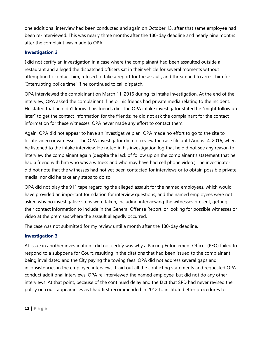one additional interview had been conducted and again on October 13, after that same employee had been re-interviewed. This was nearly three months after the 180-day deadline and nearly nine months after the complaint was made to OPA.

#### **Investigation 2**

I did not certify an investigation in a case where the complainant had been assaulted outside a restaurant and alleged the dispatched officers sat in their vehicle for several moments without attempting to contact him, refused to take a report for the assault, and threatened to arrest him for "Interrupting police time" if he continued to call dispatch.

OPA interviewed the complainant on March 11, 2016 during its intake investigation. At the end of the interview, OPA asked the complainant if he or his friends had private media relating to the incident. He stated that he didn't know if his friends did. The OPA intake investigator stated he "might follow up later" to get the contact information for the friends; he did not ask the complainant for the contact information for these witnesses. OPA never made any effort to contact them.

Again, OPA did not appear to have an investigative plan. OPA made no effort to go to the site to locate video or witnesses. The OPA investigator did not review the case file until August 4, 2016, when he listened to the intake interview. He noted in his investigation log that he did not see any reason to interview the complainant again (despite the lack of follow up on the complainant's statement that he had a friend with him who was a witness and who may have had cell phone video.) The investigator did not note that the witnesses had not yet been contacted for interviews or to obtain possible private media, nor did he take any steps to do so.

OPA did not play the 911 tape regarding the alleged assault for the named employees, which would have provided an important foundation for interview questions, and the named employees were not asked why no investigative steps were taken, including interviewing the witnesses present, getting their contact information to include in the General Offense Report, or looking for possible witnesses or video at the premises where the assault allegedly occurred.

The case was not submitted for my review until a month after the 180-day deadline.

#### **Investigation 3**

At issue in another investigation I did not certify was why a Parking Enforcement Officer (PEO) failed to respond to a subpoena for Court, resulting in the citations that had been issued to the complainant being invalidated and the City paying the towing fees. OPA did not address several gaps and inconsistencies in the employee interviews. I laid out all the conflicting statements and requested OPA conduct additional interviews. OPA re-interviewed the named employee, but did not do any other interviews. At that point, because of the continued delay and the fact that SPD had never revised the policy on court appearances as I had first recommended in 2012 to institute better procedures to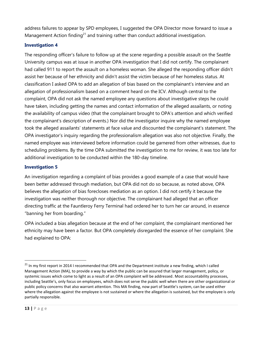address failures to appear by SPD employees, I suggested the OPA Director move forward to issue a Management Action finding<sup>21</sup> and training rather than conduct additional investigation.

#### **Investigation 4**

The responding officer's failure to follow up at the scene regarding a possible assault on the Seattle University campus was at issue in another OPA investigation that I did not certify. The complainant had called 911 to report the assault on a homeless woman. She alleged the responding officer didn't assist her because of her ethnicity and didn't assist the victim because of her homeless status. At classification I asked OPA to add an allegation of bias based on the complainant's interview and an allegation of professionalism based on a comment heard on the ICV. Although central to the complaint, OPA did not ask the named employee any questions about investigative steps he could have taken, including getting the names and contact information of the alleged assailants, or noting the availability of campus video (that the complainant brought to OPA's attention and which verified the complainant's description of events.) Nor did the investigator inquire why the named employee took the alleged assailants' statements at face value and discounted the complainant's statement. The OPA investigator's inquiry regarding the professionalism allegation was also not objective. Finally, the named employee was interviewed before information could be garnered from other witnesses, due to scheduling problems. By the time OPA submitted the investigation to me for review, it was too late for additional investigation to be conducted within the 180-day timeline.

#### **Investigation 5**

An investigation regarding a complaint of bias provides a good example of a case that would have been better addressed through mediation, but OPA did not do so because, as noted above, OPA believes the allegation of bias forecloses mediation as an option. I did not certify it because the investigation was neither thorough nor objective. The complainant had alleged that an officer directing traffic at the Fauntleroy Ferry Terminal had ordered her to turn her car around, in essence "banning her from boarding."

OPA included a bias allegation because at the end of her complaint, the complainant mentioned her ethnicity may have been a factor. But OPA completely disregarded the essence of her complaint. She had explained to OPA:

<sup>&</sup>lt;sup>21</sup> In my first report in 2014 I recommended that OPA and the Department institute a new finding, which I called Management Action (MA), to provide a way by which the public can be assured that larger management, policy, or systemic issues which come to light as a result of an OPA complaint will be addressed. Most accountability processes, including Seattle's, only focus on employees, which does not serve the public well when there are other organizational or public policy concerns that also warrant attention. This MA finding, now part of Seattle's system, can be used either where the allegation against the employee is not sustained or where the allegation is sustained, but the employee is only partially responsible.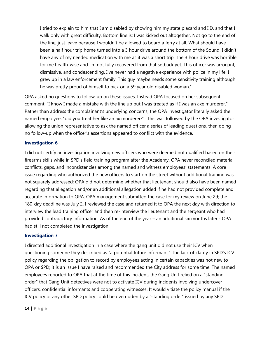I tried to explain to him that I am disabled by showing him my state placard and I.D. and that I walk only with great difficulty. Bottom line is: I was kicked out altogether. Not go to the end of the line, just leave because I wouldn't be allowed to board a ferry at all. What should have been a half hour trip home turned into a 3 hour drive around the bottom of the Sound. I didn't have any of my needed medication with me as it was a short trip. The 3 hour drive was horrible for me health-wise and I'm not fully recovered from that setback yet. This officer was arrogant, dismissive, and condescending. I've never had a negative experience with police in my life. I grew up in a law enforcement family. This guy maybe needs some sensitivity training although he was pretty proud of himself to pick on a 59 year old disabled woman."

OPA asked no questions to follow-up on these issues. Instead OPA focused on her subsequent comment: "I know I made a mistake with the line up but I was treated as if I was an axe murderer." Rather than address the complainant's underlying concerns, the OPA investigator literally asked the named employee, "did you treat her like an ax murderer?" This was followed by the OPA investigator allowing the union representative to ask the named officer a series of leading questions, then doing no follow-up when the officer's assertions appeared to conflict with the evidence.

#### **Investigation 6**

I did not certify an investigation involving new officers who were deemed not qualified based on their firearms skills while in SPD's field training program after the Academy. OPA never reconciled material conflicts, gaps, and inconsistencies among the named and witness employees' statements. A core issue regarding who authorized the new officers to start on the street without additional training was not squarely addressed; OPA did not determine whether that lieutenant should also have been named regarding that allegation and/or an additional allegation added if he had not provided complete and accurate information to OPA. OPA management submitted the case for my review on June 29; the 180-day deadline was July 2. I reviewed the case and returned it to OPA the next day with direction to interview the lead training officer and then re-interview the lieutenant and the sergeant who had provided contradictory information. As of the end of the year – an additional six months later - OPA had still not completed the investigation.

#### **Investigation 7**

I directed additional investigation in a case where the gang unit did not use their ICV when questioning someone they described as "a potential future informant." The lack of clarity in SPD's ICV policy regarding the obligation to record by employees acting in certain capacities was not new to OPA or SPD; it is an issue I have raised and recommended the City address for some time. The named employees reported to OPA that at the time of this incident, the Gang Unit relied on a "standing order" that Gang Unit detectives were not to activate ICV during incidents involving undercover officers, confidential informants and cooperating witnesses. It would vitiate the policy manual if the ICV policy or any other SPD policy could be overridden by a "standing order" issued by any SPD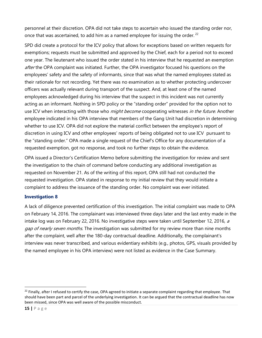personnel at their discretion. OPA did not take steps to ascertain who issued the standing order nor, once that was ascertained, to add him as a named employee for issuing the order. <sup>22</sup>

SPD did create a protocol for the ICV policy that allows for exceptions based on written requests for exemptions; requests must be submitted and approved by the Chief, each for a period not to exceed one year. The lieutenant who issued the order stated in his interview that he requested an exemption after the OPA complaint was initiated. Further, the OPA investigator focused his questions on the employees' safety and the safety of informants, since that was what the named employees stated as their rationale for not recording. Yet there was no examination as to whether protecting undercover officers was actually relevant during transport of the suspect. And, at least one of the named employees acknowledged during his interview that the suspect in this incident was not currently acting as an informant. Nothing in SPD policy or the "standing order" provided for the option not to use ICV when interacting with those who *might become* cooperating witnesses *in the future*. Another employee indicated in his OPA interview that members of the Gang Unit had discretion in determining whether to use ICV. OPA did not explore the material conflict between the employee's report of discretion in using ICV and other employees' reports of being obligated not to use ICV pursuant to the "standing order." OPA made a single request of the Chief's Office for any documentation of a requested exemption, got no response, and took no further steps to obtain the evidence.

OPA issued a Director's Certification Memo before submitting the investigation for review and sent the investigation to the chain of command before conducting any additional investigation as requested on November 21. As of the writing of this report, OPA still had not conducted the requested investigation. OPA stated in response to my initial review that they would initiate a complaint to address the issuance of the standing order. No complaint was ever initiated.

#### **Investigation 8**

A lack of diligence prevented certification of this investigation. The initial complaint was made to OPA on February 14, 2016. The complainant was interviewed three days later and the last entry made in the intake log was on February 22, 2016. No investigative steps were taken until September 12, 2016, a gap of nearly seven months. The investigation was submitted for my review more than nine months after the complaint, well after the 180-day contractual deadline. Additionally, the complainant's interview was never transcribed, and various evidentiary exhibits (e.g., photos, GPS, visuals provided by the named employee in his OPA interview) were not listed as evidence in the Case Summary.

 $^{22}$  Finally, after I refused to certify the case, OPA agreed to initiate a separate complaint regarding that employee. That should have been part and parcel of the underlying investigation. It can be argued that the contractual deadline has now been missed, since OPA was well aware of the possible misconduct.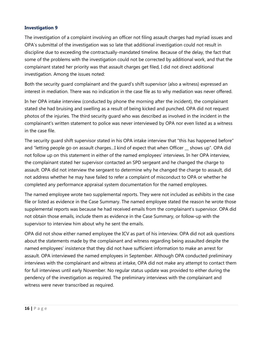#### **Investigation 9**

The investigation of a complaint involving an officer not filing assault charges had myriad issues and OPA's submittal of the investigation was so late that additional investigation could not result in discipline due to exceeding the contractually-mandated timeline. Because of the delay, the fact that some of the problems with the investigation could not be corrected by additional work, and that the complainant stated her priority was that assault charges get filed, I did not direct additional investigation. Among the issues noted:

Both the security guard complainant and the guard's shift supervisor (also a witness) expressed an interest in mediation. There was no indication in the case file as to why mediation was never offered.

In her OPA intake interview (conducted by phone the morning after the incident), the complainant stated she had bruising and swelling as a result of being kicked and punched. OPA did not request photos of the injuries. The third security guard who was described as involved in the incident in the complainant's written statement to police was never interviewed by OPA nor even listed as a witness in the case file.

The security guard shift supervisor stated in his OPA intake interview that "this has happened before" and "letting people go on assault charges…I kind of expect that when Officer \_\_ shows up". OPA did not follow up on this statement in either of the named employees' interviews. In her OPA interview, the complainant stated her supervisor contacted an SPD sergeant and he changed the charge to assault. OPA did not interview the sergeant to determine why he changed the charge to assault, did not address whether he may have failed to refer a complaint of misconduct to OPA or whether he completed any performance appraisal system documentation for the named employees.

The named employee wrote two supplemental reports. They were not included as exhibits in the case file or listed as evidence in the Case Summary. The named employee stated the reason he wrote those supplemental reports was because he had received emails from the complainant's supervisor. OPA did not obtain those emails, include them as evidence in the Case Summary, or follow-up with the supervisor to interview him about why he sent the emails.

OPA did not show either named employee the ICV as part of his interview. OPA did not ask questions about the statements made by the complainant and witness regarding being assaulted despite the named employees' insistence that they did not have sufficient information to make an arrest for assault. OPA interviewed the named employees in September. Although OPA conducted preliminary interviews with the complainant and witness at intake, OPA did not make any attempt to contact them for full interviews until early November. No regular status update was provided to either during the pendency of the investigation as required. The preliminary interviews with the complainant and witness were never transcribed as required.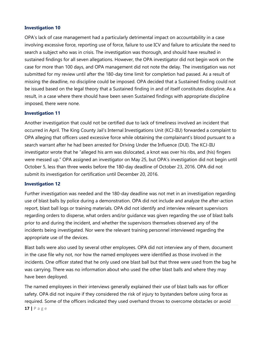#### **Investigation 10**

OPA's lack of case management had a particularly detrimental impact on accountability in a case involving excessive force, reporting use of force, failure to use ICV and failure to articulate the need to search a subject who was in crisis. The investigation was thorough, and should have resulted in sustained findings for all seven allegations. However, the OPA investigator did not begin work on the case for more than 100 days, and OPA management did not note the delay. The investigation was not submitted for my review until after the 180-day time limit for completion had passed. As a result of missing the deadline, no discipline could be imposed. OPA decided that a Sustained finding could not be issued based on the legal theory that a Sustained finding in and of itself constitutes discipline. As a result, in a case where there should have been seven Sustained findings with appropriate discipline imposed, there were none.

#### **Investigation 11**

Another investigation that could not be certified due to lack of timeliness involved an incident that occurred in April. The King County Jail's Internal Investigations Unit (KCJ-IIU) forwarded a complaint to OPA alleging that officers used excessive force while obtaining the complainant's blood pursuant to a search warrant after he had been arrested for Driving Under the Influence (DUI). The KCJ-IIU investigator wrote that he "alleged his arm was dislocated, a knot was over his ribs, and (his) fingers were messed up." OPA assigned an investigator on May 25, but OPA's investigation did not begin until October 5, less than three weeks before the 180-day deadline of October 23, 2016. OPA did not submit its investigation for certification until December 20, 2016.

#### **Investigation 12**

Further investigation was needed and the 180-day deadline was not met in an investigation regarding use of blast balls by police during a demonstration. OPA did not include and analyze the after-action report, blast ball logs or training materials. OPA did not identify and interview relevant supervisors regarding orders to disperse, what orders and/or guidance was given regarding the use of blast balls prior to and during the incident, and whether the supervisors themselves observed any of the incidents being investigated. Nor were the relevant training personnel interviewed regarding the appropriate use of the devices.

Blast balls were also used by several other employees. OPA did not interview any of them, document in the case file why not, nor how the named employees were identified as those involved in the incidents. One officer stated that he only used one blast ball but that three were used from the bag he was carrying. There was no information about who used the other blast balls and where they may have been deployed.

The named employees in their interviews generally explained their use of blast balls was for officer safety. OPA did not inquire if they considered the risk of injury to bystanders before using force as required. Some of the officers indicated they used overhand throws to overcome obstacles or avoid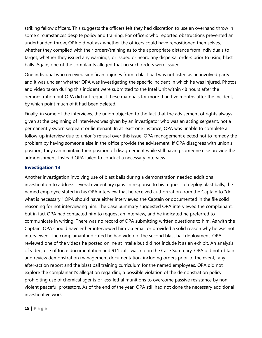striking fellow officers. This suggests the officers felt they had discretion to use an overhand throw in some circumstances despite policy and training. For officers who reported obstructions prevented an underhanded throw, OPA did not ask whether the officers could have repositioned themselves, whether they complied with their orders/training as to the appropriate distance from individuals to target, whether they issued any warnings, or issued or heard any dispersal orders prior to using blast balls. Again, one of the complaints alleged that no such orders were issued.

One individual who received significant injuries from a blast ball was not listed as an involved party and it was unclear whether OPA was investigating the specific incident in which he was injured. Photos and video taken during this incident were submitted to the Intel Unit within 48 hours after the demonstration but OPA did not request these materials for more than five months after the incident, by which point much of it had been deleted.

Finally, in some of the interviews, the union objected to the fact that the advisement of rights always given at the beginning of interviews was given by an investigator who was an acting sergeant, not a permanently sworn sergeant or lieutenant. In at least one instance, OPA was unable to complete a follow-up interview due to union's refusal over this issue. OPA management elected not to remedy the problem by having someone else in the office provide the advisement. If OPA disagrees with union's position, they can maintain their position of disagreement while still having someone else provide the admonishment. Instead OPA failed to conduct a necessary interview.

#### **Investigation 13**

Another investigation involving use of blast balls during a demonstration needed additional investigation to address several evidentiary gaps. In response to his request to deploy blast balls, the named employee stated in his OPA interview that he received authorization from the Captain to "do what is necessary." OPA should have either interviewed the Captain or documented in the file solid reasoning for not interviewing him. The Case Summary suggested OPA interviewed the complainant, but in fact OPA had contacted him to request an interview, and he indicated he preferred to communicate in writing. There was no record of OPA submitting written questions to him. As with the Captain, OPA should have either interviewed him via email or provided a solid reason why he was not interviewed. The complainant indicated he had video of the second blast ball deployment. OPA reviewed one of the videos he posted online at intake but did not include it as an exhibit. An analysis of video, use of force documentation and 911 calls was not in the Case Summary. OPA did not obtain and review demonstration management documentation, including orders prior to the event, any after-action report and the blast ball training curriculum for the named employees. OPA did not explore the complainant's allegation regarding a possible violation of the demonstration policy prohibiting use of chemical agents or less-lethal munitions to overcome passive resistance by nonviolent peaceful protestors. As of the end of the year, OPA still had not done the necessary additional investigative work.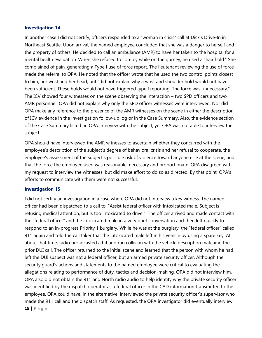#### **Investigation 14**

In another case I did not certify, officers responded to a "woman in crisis" call at Dick's Drive-In in Northeast Seattle. Upon arrival, the named employee concluded that she was a danger to herself and the property of others. He decided to call an ambulance (AMR) to have her taken to the hospital for a mental health evaluation. When she refused to comply while on the gurney, he used a "hair hold." She complained of pain, generating a Type I use of force report. The lieutenant reviewing the use of force made the referral to OPA. He noted that the officer wrote that he used the two control points closest to him, her wrist and her head, but "did not explain why a wrist and shoulder hold would not have been sufficient. These holds would not have triggered type I reporting. The force was unnecessary." The ICV showed four witnesses on the scene observing the interaction – two SPD officers and two AMR personnel. OPA did not explain why only the SPD officer witnesses were interviewed. Nor did OPA make any reference to the presence of the AMR witnesses on the scene in either the description of ICV evidence in the investigation follow-up log or in the Case Summary. Also, the evidence section of the Case Summary listed an OPA interview with the subject; yet OPA was not able to interview the subject.

OPA should have interviewed the AMR witnesses to ascertain whether they concurred with the employee's description of the subject's degree of behavioral crisis and her refusal to cooperate, the employee's assessment of the subject's possible risk of violence toward anyone else at the scene, and that the force the employee used was reasonable, necessary and proportionate. OPA disagreed with my request to interview the witnesses, but did make effort to do so as directed. By that point, OPA's efforts to communicate with them were not successful.

#### **Investigation 15**

I did not certify an investigation in a case where OPA did not interview a key witness. The named officer had been dispatched to a call to: "Assist federal officer with Intoxicated male. Subject is refusing medical attention, but is too intoxicated to drive." The officer arrived and made contact with the "federal officer" and the intoxicated male in a very brief conversation and then left quickly to respond to an in-progress Priority 1 burglary. While he was at the burglary, the "federal officer" called 911 again and told the call taker that the intoxicated male left in his vehicle by using a spare key. At about that time, radio broadcasted a hit and run collision with the vehicle description matching the prior DUI call. The officer returned to the initial scene and learned that the person with whom he had left the DUI suspect was not a federal officer, but an armed private security officer. Although the security guard's actions and statements to the named employee were critical to evaluating the allegations relating to performance of duty, tactics and decision-making, OPA did not interview him. OPA also did not obtain the 911 and North radio audio to help identify why the private security officer was identified by the dispatch operator as a federal officer in the CAD information transmitted to the employee. OPA could have, in the alternative, interviewed the private security officer's supervisor who made the 911 call and the dispatch staff. As requested, the OPA investigator did eventually interview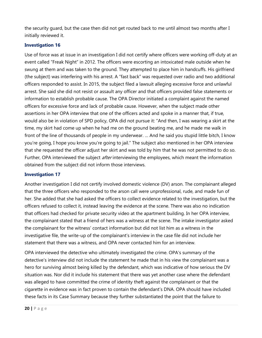the security guard, but the case then did not get routed back to me until almost two months after I initially reviewed it.

#### **Investigation 16**

Use of force was at issue in an investigation I did not certify where officers were working off-duty at an event called "Freak Night" in 2012. The officers were escorting an intoxicated male outside when he swung at them and was taken to the ground. They attempted to place him in handcuffs. His girlfriend (the subject) was interfering with his arrest. A "fast back" was requested over radio and two additional officers responded to assist. In 2015, the subject filed a lawsuit alleging excessive force and unlawful arrest. She said she did not resist or assault any officer and that officers provided false statements or information to establish probable cause. The OPA Director initiated a complaint against the named officers for excessive force and lack of probable cause. However, when the subject made other assertions in her OPA interview that one of the officers acted and spoke in a manner that, if true, would also be in violation of SPD policy, OPA did not pursue it: "And then, I was wearing a skirt at the time, my skirt had come up when he had me on the ground beating me, and he made me walk in front of the line of thousands of people in my underwear. … And he said you stupid little bitch, I know you're going, I hope you know you're going to jail." The subject also mentioned in her OPA interview that she requested the officer adjust her skirt and was told by him that he was not permitted to do so. Further, OPA interviewed the subject *after* interviewing the employees, which meant the information obtained from the subject did not inform those interviews.

#### **Investigation 17**

Another investigation I did not certify involved domestic violence (DV) arson. The complainant alleged that the three officers who responded to the arson call were unprofessional, rude, and made fun of her. She added that she had asked the officers to collect evidence related to the investigation, but the officers refused to collect it, instead leaving the evidence at the scene. There was also no indication that officers had checked for private security video at the apartment building. In her OPA interview, the complainant stated that a friend of hers was a witness at the scene. The intake investigator asked the complainant for the witness' contact information but did not list him as a witness in the investigative file, the write-up of the complainant's interview in the case file did not include her statement that there was a witness, and OPA never contacted him for an interview.

OPA interviewed the detective who ultimately investigated the crime. OPA's summary of the detective's interview did not include the statement he made that in his view the complainant was a hero for surviving almost being killed by the defendant, which was indicative of how serious the DV situation was. Nor did it include his statement that there was yet another case where the defendant was alleged to have committed the crime of identity theft against the complainant or that the cigarette in evidence was in fact proven to contain the defendant's DNA. OPA should have included these facts in its Case Summary because they further substantiated the point that the failure to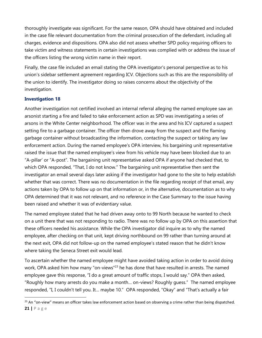thoroughly investigate was significant. For the same reason, OPA should have obtained and included in the case file relevant documentation from the criminal prosecution of the defendant, including all charges, evidence and dispositions. OPA also did not assess whether SPD policy requiring officers to take victim and witness statements in certain investigations was complied with or address the issue of the officers listing the wrong victim name in their report.

Finally, the case file included an email stating the OPA investigator's personal perspective as to his union's sidebar settlement agreement regarding ICV. Objections such as this are the responsibility of the union to identify. The investigator doing so raises concerns about the objectivity of the investigation.

#### **Investigation 18**

 $\overline{a}$ 

Another investigation not certified involved an internal referral alleging the named employee saw an arsonist starting a fire and failed to take enforcement action as SPD was investigating a series of arsons in the White Center neighborhood. The officer was in the area and his ICV captured a suspect setting fire to a garbage container. The officer then drove away from the suspect and the flaming garbage container without broadcasting the information, contacting the suspect or taking any law enforcement action. During the named employee's OPA interview, his bargaining unit representative raised the issue that the named employee's view from his vehicle may have been blocked due to an "A-pillar' or "A-post". The bargaining unit representative asked OPA if anyone had checked that, to which OPA responded, "That, I do not know." The bargaining unit representative then sent the investigator an email several days later asking if the investigator had gone to the site to help establish whether that was correct. There was no documentation in the file regarding receipt of that email, any actions taken by OPA to follow up on that information or, in the alternative, documentation as to why OPA determined that it was not relevant, and no reference in the Case Summary to the issue having been raised and whether it was of evidentiary value.

The named employee stated that he had driven away onto to 99 North because he wanted to check on a unit there that was not responding to radio. There was no follow up by OPA on this assertion that these officers needed his assistance. While the OPA investigator did inquire as to why the named employee, after checking on that unit, kept driving northbound on 99 rather than turning around at the next exit, OPA did not follow-up on the named employee's stated reason that he didn't know where taking the Seneca Street exit would lead.

To ascertain whether the named employee might have avoided taking action in order to avoid doing work, OPA asked him how many "on-views"<sup>23</sup> he has done that have resulted in arrests. The named employee gave this response, "I do a great amount of traffic stops, I would say." OPA then asked, "Roughly how many arrests do you make a month… on-views? Roughly guess." The named employee responded, "I, I couldn't tell you. It… maybe 10." OPA responded, "Okay" and "That's actually a fair

**<sup>21</sup> |** P a g e <sup>23</sup> An "on-view" means an officer takes law enforcement action based on observing a crime rather than being dispatched.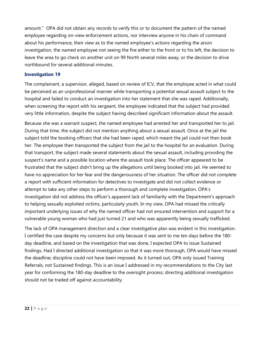amount." OPA did not obtain any records to verify this or to document the pattern of the named employee regarding on-view enforcement actions, nor interview anyone in his chain of command about his performance, their view as to the named employee's actions regarding the arson investigation, the named employee not seeing the fire either to the front or to his left, the decision to leave the area to go check on another unit on 99 North several miles away, or the decision to drive northbound for several additional minutes.

#### **Investigation 19**

The complainant, a supervisor, alleged, based on review of ICV, that the employee acted in what could be perceived as an unprofessional manner while transporting a potential sexual assault subject to the hospital and failed to conduct an investigation into her statement that she was raped. Additionally, when screening the report with his sergeant, the employee indicated that the subject had provided very little information, despite the subject having described significant information about the assault.

Because she was a warrant suspect, the named employee had arrested her and transported her to jail. During that time, the subject did not mention anything about a sexual assault. Once at the jail the subject told the booking officers that she had been raped, which meant the jail could not then book her. The employee then transported the subject from the jail to the hospital for an evaluation. During that transport, the subject made several statements about the sexual assault, including providing the suspect's name and a possible location where the assault took place. The officer appeared to be frustrated that the subject didn't bring up the allegations until being booked into jail. He seemed to have no appreciation for her fear and the dangerousness of her situation. The officer did not complete a report with sufficient information for detectives to investigate and did not collect evidence or attempt to take any other steps to perform a thorough and complete investigation. OPA's investigation did not address the officer's apparent lack of familiarity with the Department's approach to helping sexually exploited victims, particularly youth. In my view, OPA had missed the critically important underlying issues of why the named officer had not ensured intervention and support for a vulnerable young woman who had just turned 21 and who was apparently being sexually trafficked.

The lack of OPA management direction and a clear investigative plan was evident in this investigation. I certified the case despite my concerns but only because it was sent to me ten days before the 180 day deadline, and based on the investigation that was done, I expected OPA to issue Sustained findings. Had I directed additional investigation so that it was more thorough, OPA would have missed the deadline; discipline could not have been imposed. As it turned out, OPA only issued Training Referrals, not Sustained findings. This is an issue I addressed in my recommendations to the City last year for conforming the 180-day deadline to the oversight process; directing additional investigation should not be traded off against accountability.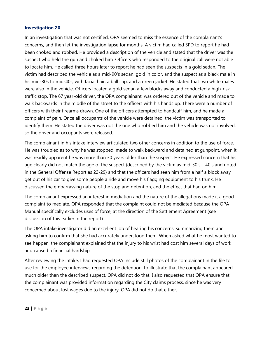#### **Investigation 20**

In an investigation that was not certified, OPA seemed to miss the essence of the complainant's concerns, and then let the investigation lapse for months. A victim had called SPD to report he had been choked and robbed. He provided a description of the vehicle and stated that the driver was the suspect who held the gun and choked him. Officers who responded to the original call were not able to locate him. He called three hours later to report he had seen the suspects in a gold sedan. The victim had described the vehicle as a mid-90's sedan, gold in color, and the suspect as a black male in his mid-30s to mid-40s, with facial hair, a ball cap, and a green jacket. He stated that two white males were also in the vehicle. Officers located a gold sedan a few blocks away and conducted a high-risk traffic stop. The 67 year-old driver, the OPA complainant, was ordered out of the vehicle and made to walk backwards in the middle of the street to the officers with his hands up. There were a number of officers with their firearms drawn. One of the officers attempted to handcuff him, and he made a complaint of pain. Once all occupants of the vehicle were detained, the victim was transported to identify them. He stated the driver was not the one who robbed him and the vehicle was not involved, so the driver and occupants were released.

The complainant in his intake interview articulated two other concerns in addition to the use of force. He was troubled as to why he was stopped, made to walk backward and detained at gunpoint, when it was readily apparent he was more than 30 years older than the suspect. He expressed concern that his age clearly did not match the age of the suspect (described by the victim as mid-30's – 40's and noted in the General Offense Report as 22-29) and that the officers had seen him from a half a block away get out of his car to give some people a ride and move his flagging equipment to his trunk. He discussed the embarrassing nature of the stop and detention, and the effect that had on him.

The complainant expressed an interest in mediation and the nature of the allegations made it a good complaint to mediate. OPA responded that the complaint could not be mediated because the OPA Manual specifically excludes uses of force, at the direction of the Settlement Agreement (see discussion of this earlier in the report).

The OPA intake investigator did an excellent job of hearing his concerns, summarizing them and asking him to confirm that she had accurately understood them. When asked what he most wanted to see happen, the complainant explained that the injury to his wrist had cost him several days of work and caused a financial hardship.

After reviewing the intake, I had requested OPA include still photos of the complainant in the file to use for the employee interviews regarding the detention, to illustrate that the complainant appeared much older than the described suspect. OPA did not do that. I also requested that OPA ensure that the complainant was provided information regarding the City claims process, since he was very concerned about lost wages due to the injury. OPA did not do that either.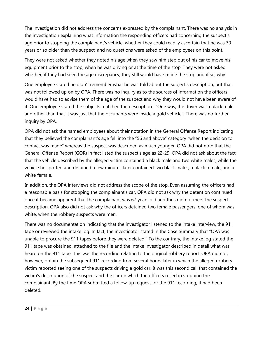The investigation did not address the concerns expressed by the complainant. There was no analysis in the investigation explaining what information the responding officers had concerning the suspect's age prior to stopping the complainant's vehicle, whether they could readily ascertain that he was 30 years or so older than the suspect, and no questions were asked of the employees on this point.

They were not asked whether they noted his age when they saw him step out of his car to move his equipment prior to the stop, when he was driving or at the time of the stop. They were not asked whether, if they had seen the age discrepancy, they still would have made the stop and if so, why.

One employee stated he didn't remember what he was told about the subject's description, but that was not followed up on by OPA. There was no inquiry as to the sources of information the officers would have had to advise them of the age of the suspect and why they would not have been aware of it. One employee stated the subjects matched the description: "One was, the driver was a black male and other than that it was just that the occupants were inside a gold vehicle". There was no further inquiry by OPA.

OPA did not ask the named employees about their notation in the General Offense Report indicating that they believed the complainant's age fell into the "56 and above" category "when the decision to contact was made" whereas the suspect was described as much younger. OPA did not note that the General Offense Report (GOR) in fact listed the suspect's age as 22-29. OPA did not ask about the fact that the vehicle described by the alleged victim contained a black male and two white males, while the vehicle he spotted and detained a few minutes later contained two black males, a black female, and a white female.

In addition, the OPA interviews did not address the scope of the stop. Even assuming the officers had a reasonable basis for stopping the complainant's car, OPA did not ask why the detention continued once it became apparent that the complainant was 67 years old and thus did not meet the suspect description. OPA also did not ask why the officers detained two female passengers, one of whom was white, when the robbery suspects were men.

There was no documentation indicating that the investigator listened to the intake interview, the 911 tape or reviewed the intake log. In fact, the investigator stated in the Case Summary that "OPA was unable to procure the 911 tapes before they were deleted." To the contrary, the intake log stated the 911 tape was obtained, attached to the file and the intake investigator described in detail what was heard on the 911 tape. This was the recording relating to the original robbery report. OPA did not, however, obtain the subsequent 911 recording from several hours later in which the alleged robbery victim reported seeing one of the suspects driving a gold car. It was this second call that contained the victim's description of the suspect and the car on which the officers relied in stopping the complainant. By the time OPA submitted a follow-up request for the 911 recording, it had been deleted.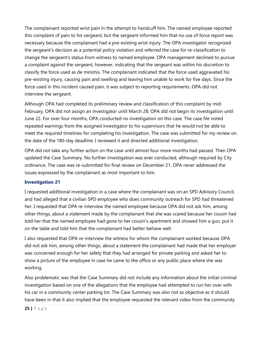The complainant reported wrist pain in the attempt to handcuff him. The named employee reported this complaint of pain to his sergeant, but the sergeant informed him that no use of force report was necessary because the complainant had a pre-existing wrist injury. The OPA investigator recognized the sergeant's decision as a potential policy violation and referred the case for re-classification to change the sergeant's status from witness to named employee. OPA management declined to pursue a complaint against the sergeant, however, indicating that the sergeant was within his discretion to classify the force used as de minimis. The complainant indicated that the force used aggravated his pre-existing injury, causing pain and swelling and leaving him unable to work for five days. Since the force used in this incident caused pain, it was subject to reporting requirements. OPA did not interview the sergeant.

Although OPA had completed its preliminary review and classification of this complaint by mid-February, OPA did not assign an investigator until March 28. OPA did not begin its investigation until June 22. For over four months, OPA conducted no investigation on this case. The case file noted repeated warnings from the assigned investigator to his supervisors that he would not be able to meet the required timelines for completing his investigation. The case was submitted for my review on the date of the 180-day deadline. I reviewed it and directed additional investigation.

OPA did not take any further action on the case until almost four more months had passed. Then OPA updated the Case Summary. No further investigation was ever conducted, although required by City ordinance. The case was re-submitted for final review on December 21. OPA never addressed the issues expressed by the complainant as most important to him.

#### **Investigation 21**

I requested additional investigation in a case where the complainant was on an SPD Advisory Council, and had alleged that a civilian SPD employee who does community outreach for SPD had threatened her. I requested that OPA re-interview the named employee because OPA did not ask him, among other things, about a statement made by the complainant that she was scared because her cousin had told her that the named employee had gone to her cousin's apartment and showed him a gun, put it on the table and told him that the complainant had better behave well.

I also requested that OPA re-interview the witness for whom the complainant worked because OPA did not ask him, among other things, about a statement the complainant had made that her employer was concerned enough for her safety that they had arranged for private parking and asked her to show a picture of the employee in case he came to the office or any public place where she was working.

Also problematic was that the Case Summary did not include any information about the initial criminal investigation based on one of the allegations that the employee had attempted to run her over with his car in a community center parking lot. The Case Summary was also not as objective as it should have been in that it also implied that the employee requested the relevant video from the community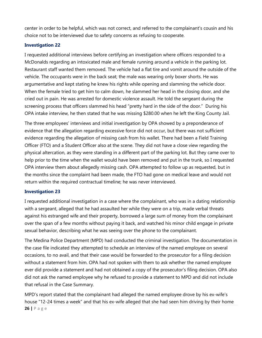center in order to be helpful, which was not correct, and referred to the complainant's cousin and his choice not to be interviewed due to safety concerns as refusing to cooperate.

#### **Investigation 22**

I requested additional interviews before certifying an investigation where officers responded to a McDonalds regarding an intoxicated male and female running around a vehicle in the parking lot. Restaurant staff wanted them removed. The vehicle had a flat tire and vomit around the outside of the vehicle. The occupants were in the back seat; the male was wearing only boxer shorts. He was argumentative and kept stating he knew his rights while opening and slamming the vehicle door. When the female tried to get him to calm down, he slammed her head in the closing door, and she cried out in pain. He was arrested for domestic violence assault. He told the sergeant during the screening process that officers slammed his head "pretty hard in the side of the door." During his OPA intake interview, he then stated that he was missing \$280.00 when he left the King County Jail.

The three employees' interviews and initial investigation by OPA showed by a preponderance of evidence that the allegation regarding excessive force did not occur, but there was not sufficient evidence regarding the allegation of missing cash from his wallet. There had been a Field Training Officer (FTO) and a Student Officer also at the scene. They did not have a close view regarding the physical altercation, as they were standing in a different part of the parking lot. But they came over to help prior to the time when the wallet would have been removed and put in the trunk, so I requested OPA interview them about allegedly missing cash. OPA attempted to follow up as requested, but in the months since the complaint had been made, the FTO had gone on medical leave and would not return within the required contractual timeline; he was never interviewed.

#### **Investigation 23**

I requested additional investigation in a case where the complainant, who was in a dating relationship with a sergeant, alleged that he had assaulted her while they were on a trip, made verbal threats against his estranged wife and their property, borrowed a large sum of money from the complainant over the span of a few months without paying it back, and watched his minor child engage in private sexual behavior, describing what he was seeing over the phone to the complainant.

The Medina Police Department (MPD) had conducted the criminal investigation. The documentation in the case file indicated they attempted to schedule an interview of the named employee on several occasions, to no avail, and that their case would be forwarded to the prosecutor for a filing decision without a statement from him. OPA had not spoken with them to ask whether the named employee ever did provide a statement and had not obtained a copy of the prosecutor's filing decision. OPA also did not ask the named employee why he refused to provide a statement to MPD and did not include that refusal in the Case Summary.

**26 |** P a g e MPD's report stated that the complainant had alleged the named employee drove by his ex-wife's house "12-24 times a week" and that his ex-wife alleged that she had seen him driving by their home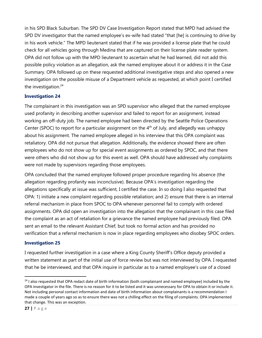in his SPD Black Suburban. The SPD DV Case Investigation Report stated that MPD had advised the SPD DV investigator that the named employee's ex-wife had stated "that [he] is continuing to drive by in his work vehicle." The MPD lieutenant stated that if he was provided a license plate that he could check for all vehicles going through Medina that are captured on their license plate reader system. OPA did not follow up with the MPD lieutenant to ascertain what he had learned, did not add this possible policy violation as an allegation, ask the named employee about it or address it in the Case Summary. OPA followed up on these requested additional investigative steps and also opened a new investigation on the possible misuse of a Department vehicle as requested, at which point I certified the investigation. $24$ 

#### **Investigation 24**

The complainant in this investigation was an SPD supervisor who alleged that the named employee used profanity in describing another supervisor and failed to report for an assignment, instead working an off-duty job. The named employee had been directed by the Seattle Police Operations Center (SPOC) to report for a particular assignment on the  $4<sup>th</sup>$  of July, and allegedly was unhappy about his assignment. The named employee alleged in his interview that this OPA complaint was retaliatory. OPA did not pursue that allegation. Additionally, the evidence showed there are often employees who do not show up for special event assignments as ordered by SPOC, and that there were others who did not show up for this event as well. OPA should have addressed why complaints were not made by supervisors regarding those employees.

OPA concluded that the named employee followed proper procedure regarding his absence (the allegation regarding profanity was inconclusive). Because OPA's investigation regarding the allegations specifically at issue was sufficient, I certified the case. In so doing I also requested that OPA: 1) initiate a new complaint regarding possible retaliation; and 2) ensure that there is an internal referral mechanism in place from SPOC to OPA whenever personnel fail to comply with ordered assignments. OPA did open an investigation into the allegation that the complainant in this case filed the complaint as an act of retaliation for a grievance the named employee had previously filed. OPA sent an email to the relevant Assistant Chief, but took no formal action and has provided no verification that a referral mechanism is now in place regarding employees who disobey SPOC orders.

#### **Investigation 25**

I requested further investigation in a case where a King County Sheriff's Office deputy provided a written statement as part of the initial use of force review but was not interviewed by OPA. I requested that he be interviewed, and that OPA inquire in particular as to a named employee's use of a closed

 $24$  I also requested that OPA redact date of birth information (both complainant and named employee) included by the OPA investigator in the file. There is no reason for it to be listed and it was unnecessary for OPA to obtain it or include it. Not including personal contact information and date of birth information about complainants is a recommendation I made a couple of years ago so as to ensure there was not a chilling effect on the filing of complaints. OPA implemented that change. This was an exception.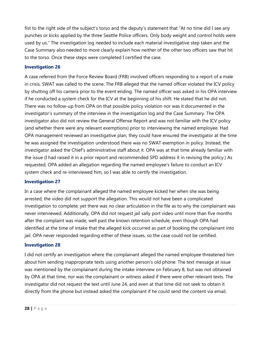fist to the right side of the subject's torso and the deputy's statement that "At no time did I see any punches or kicks applied by the three Seattle Police officers. Only body weight and control holds were used by us." The investigation log needed to include each material investigative step taken and the Case Summary also needed to more clearly explain how neither of the other two officers saw that hit to the torso. Once these steps were completed I certified the case.

#### **Investigation 26**

A case referred from the Force Review Board (FRB) involved officers responding to a report of a male in crisis. SWAT was called to the scene. The FRB alleged that the named officer violated the ICV policy by shutting off his camera prior to the event ending. The named officer was asked in his OPA interview if he conducted a system check for the ICV at the beginning of his shift. He stated that he did not. There was no follow-up from OPA on that possible policy violation nor was it documented in the investigator's summary of the interview in the investigation log and the Case Summary. The OPA investigator also did not review the General Offense Report and was not familiar with the ICV policy (and whether there were any relevant exemptions) prior to interviewing the named employee. Had OPA management reviewed an investigative plan, they could have ensured the investigator at the time he was assigned the investigation understood there was no SWAT exemption in policy. Instead, the investigator asked the Chief's administrative staff about it. OPA was at that time already familiar with the issue (I had raised it in a prior report and recommended SPD address it in revising the policy.) As requested, OPA added an allegation regarding the named employee's failure to conduct an ICV system check and re-interviewed him, so I was able to certify the investigation.

#### **Investigation 27**

In a case where the complainant alleged the named employee kicked her when she was being arrested, the video did not support the allegation. This would not have been a complicated investigation to complete; yet there was no clear articulation in the file as to why the complainant was never interviewed. Additionally, OPA did not request jail sally port video until more than five months after the complaint was made, well past the known retention schedule, even though OPA had identified at the time of intake that the alleged kick occurred as part of booking the complainant into jail. OPA never responded regarding either of these issues, so the case could not be certified.

#### **Investigation 28**

I did not certify an investigation where the complainant alleged the named employee threatened him about him sending inappropriate texts using another person's old phone. The text message at issue was mentioned by the complainant during the intake interview on February 8, but was not obtained by OPA at that time, nor was the complainant or witness asked if there were other relevant texts. The investigator did not request the text until June 24, and even at that time did not seek to obtain it directly from the phone but instead asked the complainant if he could send the content via email.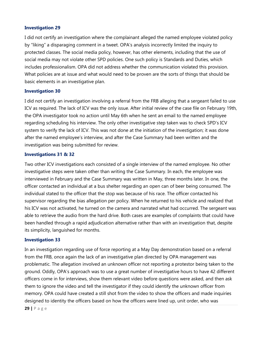#### **Investigation 29**

I did not certify an investigation where the complainant alleged the named employee violated policy by "liking" a disparaging comment in a tweet. OPA's analysis incorrectly limited the inquiry to protected classes. The social media policy, however, has other elements, including that the use of social media may not violate other SPD policies. One such policy is Standards and Duties, which includes professionalism. OPA did not address whether the communication violated this provision. What policies are at issue and what would need to be proven are the sorts of things that should be basic elements in an investigative plan.

#### **Investigation 30**

I did not certify an investigation involving a referral from the FRB alleging that a sergeant failed to use ICV as required. The lack of ICV was the only issue. After initial review of the case file on February 19th, the OPA investigator took no action until May 6th when he sent an email to the named employee regarding scheduling his interview. The only other investigative step taken was to check SPD's ICV system to verify the lack of ICV. This was not done at the initiation of the investigation; it was done after the named employee's interview, and after the Case Summary had been written and the investigation was being submitted for review.

#### **Investigations 31 & 32**

Two other ICV investigations each consisted of a single interview of the named employee. No other investigative steps were taken other than writing the Case Summary. In each, the employee was interviewed in February and the Case Summary was written in May, three months later. In one, the officer contacted an individual at a bus shelter regarding an open can of beer being consumed. The individual stated to the officer that the stop was because of his race. The officer contacted his supervisor regarding the bias allegation per policy. When he returned to his vehicle and realized that his ICV was not activated, he turned on the camera and narrated what had occurred. The sergeant was able to retrieve the audio from the hard drive. Both cases are examples of complaints that could have been handled through a rapid adjudication alternative rather than with an investigation that, despite its simplicity, languished for months.

#### **Investigation 33**

In an investigation regarding use of force reporting at a May Day demonstration based on a referral from the FRB, once again the lack of an investigative plan directed by OPA management was problematic. The allegation involved an unknown officer not reporting a protestor being taken to the ground. Oddly, OPA's approach was to use a great number of investigative hours to have 42 different officers come in for interviews, show them relevant video before questions were asked, and then ask them to ignore the video and tell the investigator if they could identify the unknown officer from memory. OPA could have created a still shot from the video to show the officers and made inquiries designed to identity the officers based on how the officers were lined up, unit order, who was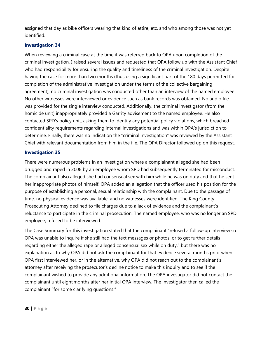assigned that day as bike officers wearing that kind of attire, etc. and who among those was not yet identified.

#### **Investigation 34**

When reviewing a criminal case at the time it was referred back to OPA upon completion of the criminal investigation, I raised several issues and requested that OPA follow up with the Assistant Chief who had responsibility for ensuring the quality and timeliness of the criminal investigation. Despite having the case for more than two months (thus using a significant part of the 180 days permitted for completion of the administrative investigation under the terms of the collective bargaining agreement), no criminal investigation was conducted other than an interview of the named employee. No other witnesses were interviewed or evidence such as bank records was obtained. No audio file was provided for the single interview conducted. Additionally, the criminal investigator (from the homicide unit) inappropriately provided a Garrity advisement to the named employee. He also contacted SPD's policy unit, asking them to identify any potential policy violations, which breached confidentiality requirements regarding internal investigations and was within OPA's jurisdiction to determine. Finally, there was no indication the "criminal investigation" was reviewed by the Assistant Chief with relevant documentation from him in the file. The OPA Director followed up on this request.

#### **Investigation 35**

There were numerous problems in an investigation where a complainant alleged she had been drugged and raped in 2008 by an employee whom SPD had subsequently terminated for misconduct. The complainant also alleged she had consensual sex with him while he was on duty and that he sent her inappropriate photos of himself. OPA added an allegation that the officer used his position for the purpose of establishing a personal, sexual relationship with the complainant. Due to the passage of time, no physical evidence was available, and no witnesses were identified. The King County Prosecuting Attorney declined to file charges due to a lack of evidence and the complainant's reluctance to participate in the criminal prosecution. The named employee, who was no longer an SPD employee, refused to be interviewed.

The Case Summary for this investigation stated that the complainant "refused a follow-up interview so OPA was unable to inquire if she still had the text messages or photos, or to get further details regarding either the alleged rape or alleged consensual sex while on duty," but there was no explanation as to why OPA did not ask the complainant for that evidence several months prior when OPA first interviewed her, or in the alternative, why OPA did not reach out to the complainant's attorney after receiving the prosecutor's decline notice to make this inquiry and to see if the complainant wished to provide any additional information. The OPA investigator did not contact the complainant until eight months after her initial OPA interview. The investigator then called the complainant "for some clarifying questions."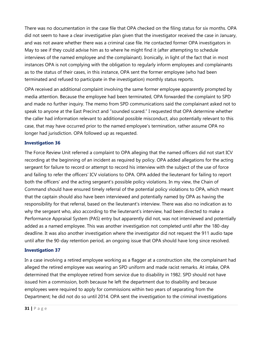There was no documentation in the case file that OPA checked on the filing status for six months. OPA did not seem to have a clear investigative plan given that the investigator received the case in January, and was not aware whether there was a criminal case file. He contacted former OPA investigators in May to see if they could advise him as to where he might find it (after attempting to schedule interviews of the named employee and the complainant). Ironically, in light of the fact that in most instances OPA is not complying with the obligation to regularly inform employees and complainants as to the status of their cases, in this instance, OPA sent the former employee (who had been terminated and refused to participate in the investigation) monthly status reports.

OPA received an additional complaint involving the same former employee apparently prompted by media attention. Because the employee had been terminated, OPA forwarded the complaint to SPD and made no further inquiry. The memo from SPD communications said the complainant asked not to speak to anyone at the East Precinct and "sounded scared." I requested that OPA determine whether the caller had information relevant to additional possible misconduct, also potentially relevant to this case, that may have occurred prior to the named employee's termination, rather assume OPA no longer had jurisdiction. OPA followed up as requested.

#### **Investigation 36**

The Force Review Unit referred a complaint to OPA alleging that the named officers did not start ICV recording at the beginning of an incident as required by policy. OPA added allegations for the acting sergeant for failure to record or attempt to record his interview with the subject of the use of force and failing to refer the officers' ICV violations to OPA. OPA added the lieutenant for failing to report both the officers' and the acting sergeant's possible policy violations. In my view, the Chain of Command should have ensured timely referral of the potential policy violations to OPA, which meant that the captain should also have been interviewed and potentially named by OPA as having the responsibility for that referral, based on the lieutenant's interview. There was also no indication as to why the sergeant who, also according to the lieutenant's interview, had been directed to make a Performance Appraisal System (PAS) entry but apparently did not, was not interviewed and potentially added as a named employee. This was another investigation not completed until after the 180-day deadline. It was also another investigation where the investigator did not request the 911 audio tape until after the 90-day retention period, an ongoing issue that OPA should have long since resolved.

#### **Investigation 37**

In a case involving a retired employee working as a flagger at a construction site, the complainant had alleged the retired employee was wearing an SPD uniform and made racist remarks. At intake, OPA determined that the employee retired from service due to disability in 1982. SPD should not have issued him a commission, both because he left the department due to disability and because employees were required to apply for commissions within two years of separating from the Department; he did not do so until 2014. OPA sent the investigation to the criminal investigations